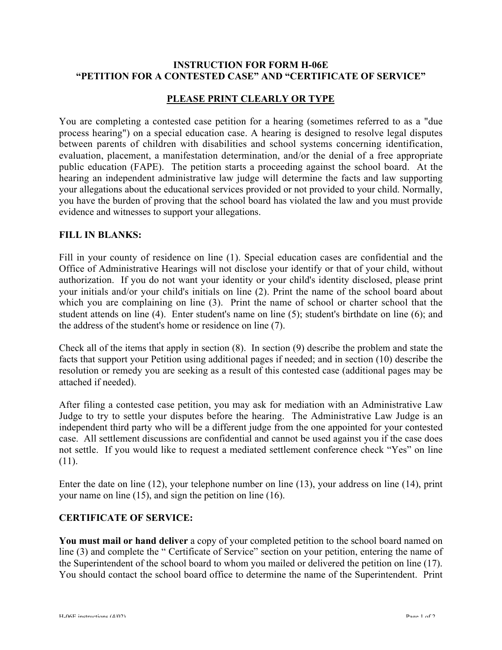# **INSTRUCTION FOR FORM H-06E "PETITION FOR A CONTESTED CASE" AND "CERTIFICATE OF SERVICE"**

# **PLEASE PRINT CLEARLY OR TYPE**

You are completing a contested case petition for a hearing (sometimes referred to as a "due process hearing") on a special education case. A hearing is designed to resolve legal disputes between parents of children with disabilities and school systems concerning identification, evaluation, placement, a manifestation determination, and/or the denial of a free appropriate public education (FAPE). The petition starts a proceeding against the school board. At the hearing an independent administrative law judge will determine the facts and law supporting your allegations about the educational services provided or not provided to your child. Normally, you have the burden of proving that the school board has violated the law and you must provide evidence and witnesses to support your allegations.

### **FILL IN BLANKS:**

Fill in your county of residence on line (1). Special education cases are confidential and the Office of Administrative Hearings will not disclose your identify or that of your child, without authorization. If you do not want your identity or your child's identity disclosed, please print your initials and/or your child's initials on line (2). Print the name of the school board about which you are complaining on line (3). Print the name of school or charter school that the student attends on line (4). Enter student's name on line (5); student's birthdate on line (6); and the address of the student's home or residence on line (7).

Check all of the items that apply in section (8). In section (9) describe the problem and state the facts that support your Petition using additional pages if needed; and in section (10) describe the resolution or remedy you are seeking as a result of this contested case (additional pages may be attached if needed).

After filing a contested case petition, you may ask for mediation with an Administrative Law Judge to try to settle your disputes before the hearing. The Administrative Law Judge is an independent third party who will be a different judge from the one appointed for your contested case. All settlement discussions are confidential and cannot be used against you if the case does not settle. If you would like to request a mediated settlement conference check "Yes" on line (11).

Enter the date on line (12), your telephone number on line (13), your address on line (14), print your name on line (15), and sign the petition on line (16).

#### **CERTIFICATE OF SERVICE:**

**You must mail or hand deliver** a copy of your completed petition to the school board named on line (3) and complete the " Certificate of Service" section on your petition, entering the name of the Superintendent of the school board to whom you mailed or delivered the petition on line (17). You should contact the school board office to determine the name of the Superintendent. Print